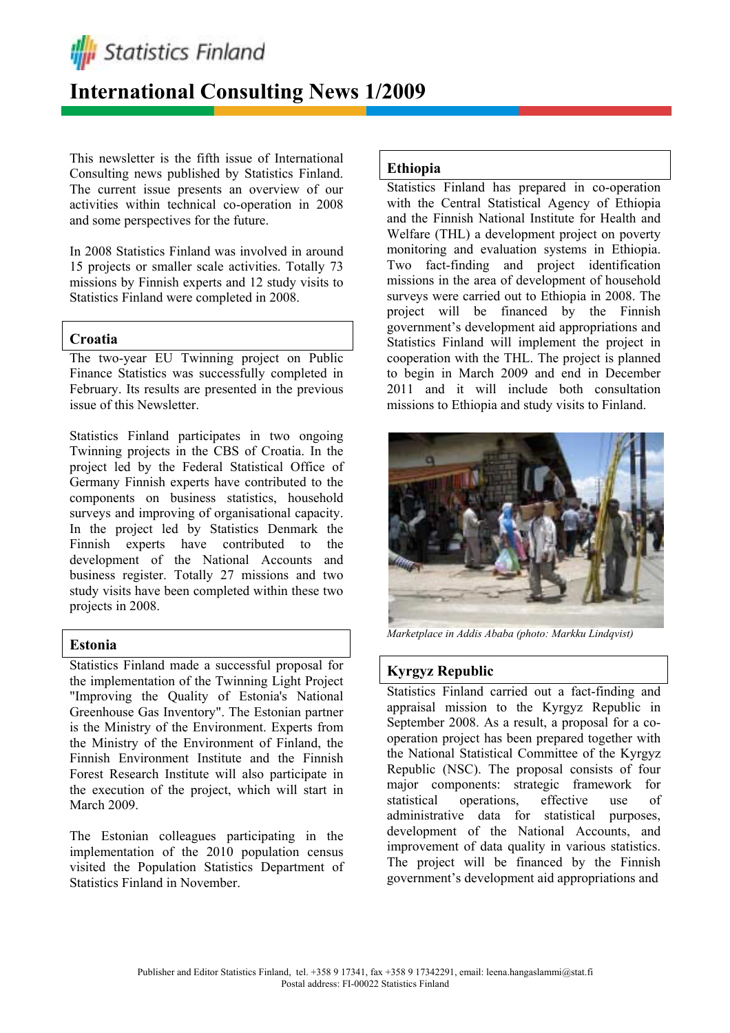

# **International Consulting News 1/2009**

This newsletter is the fifth issue of International Consulting news published by Statistics Finland. The current issue presents an overview of our activities within technical co-operation in 2008 and some perspectives for the future.

In 2008 Statistics Finland was involved in around 15 projects or smaller scale activities. Totally 73 missions by Finnish experts and 12 study visits to Statistics Finland were completed in 2008.

## **Croatia**

The two-year EU Twinning project on Public Finance Statistics was successfully completed in February. Its results are presented in the previous issue of this Newsletter.

Statistics Finland participates in two ongoing Twinning projects in the CBS of Croatia. In the project led by the Federal Statistical Office of Germany Finnish experts have contributed to the components on business statistics, household surveys and improving of organisational capacity. In the project led by Statistics Denmark the Finnish experts have contributed to the development of the National Accounts and business register. Totally 27 missions and two study visits have been completed within these two projects in 2008.

## **Estonia**

Statistics Finland made a successful proposal for the implementation of the Twinning Light Project "Improving the Quality of Estonia's National Greenhouse Gas Inventory". The Estonian partner is the Ministry of the Environment. Experts from the Ministry of the Environment of Finland, the Finnish Environment Institute and the Finnish Forest Research Institute will also participate in the execution of the project, which will start in March 2009.

The Estonian colleagues participating in the implementation of the 2010 population census visited the Population Statistics Department of Statistics Finland in November.

# **Ethiopia**

Statistics Finland has prepared in co-operation with the Central Statistical Agency of Ethiopia and the Finnish National Institute for Health and Welfare (THL) a development project on poverty monitoring and evaluation systems in Ethiopia. Two fact-finding and project identification missions in the area of development of household surveys were carried out to Ethiopia in 2008. The project will be financed by the Finnish government's development aid appropriations and Statistics Finland will implement the project in cooperation with the THL. The project is planned to begin in March 2009 and end in December 2011 and it will include both consultation missions to Ethiopia and study visits to Finland.



*Marketplace in Addis Ababa (photo: Markku Lindqvist)* 

# **Kyrgyz Republic**

Statistics Finland carried out a fact-finding and appraisal mission to the Kyrgyz Republic in September 2008. As a result, a proposal for a cooperation project has been prepared together with the National Statistical Committee of the Kyrgyz Republic (NSC). The proposal consists of four major components: strategic framework for statistical operations, effective use of administrative data for statistical purposes, development of the National Accounts, and improvement of data quality in various statistics. The project will be financed by the Finnish government's development aid appropriations and